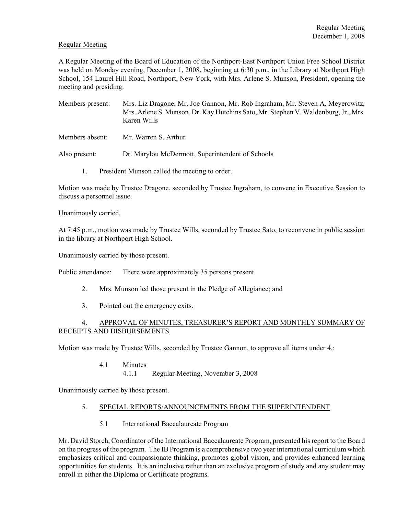## Regular Meeting

A Regular Meeting of the Board of Education of the Northport-East Northport Union Free School District was held on Monday evening, December 1, 2008, beginning at 6:30 p.m., in the Library at Northport High School, 154 Laurel Hill Road, Northport, New York, with Mrs. Arlene S. Munson, President, opening the meeting and presiding.

- Members present: Mrs. Liz Dragone, Mr. Joe Gannon, Mr. Rob Ingraham, Mr. Steven A. Meyerowitz, Mrs. Arlene S. Munson, Dr. Kay Hutchins Sato, Mr. Stephen V. Waldenburg, Jr., Mrs. Karen Wills
- Members absent: Mr. Warren S. Arthur

Also present: Dr. Marylou McDermott, Superintendent of Schools

1. President Munson called the meeting to order.

Motion was made by Trustee Dragone, seconded by Trustee Ingraham, to convene in Executive Session to discuss a personnel issue.

Unanimously carried.

At 7:45 p.m., motion was made by Trustee Wills, seconded by Trustee Sato, to reconvene in public session in the library at Northport High School.

Unanimously carried by those present.

Public attendance: There were approximately 35 persons present.

- 2. Mrs. Munson led those present in the Pledge of Allegiance; and
- 3. Pointed out the emergency exits.

## 4. APPROVAL OF MINUTES, TREASURER'S REPORT AND MONTHLY SUMMARY OF RECEIPTS AND DISBURSEMENTS

Motion was made by Trustee Wills, seconded by Trustee Gannon, to approve all items under 4.:

4.1 Minutes 4.1.1 Regular Meeting, November 3, 2008

Unanimously carried by those present.

### 5. SPECIAL REPORTS/ANNOUNCEMENTS FROM THE SUPERINTENDENT

5.1 International Baccalaureate Program

Mr. David Storch, Coordinator of the International Baccalaureate Program, presented his report to the Board on the progress of the program. The IB Program is a comprehensive two year international curriculum which emphasizes critical and compassionate thinking, promotes global vision, and provides enhanced learning opportunities for students. It is an inclusive rather than an exclusive program of study and any student may enroll in either the Diploma or Certificate programs.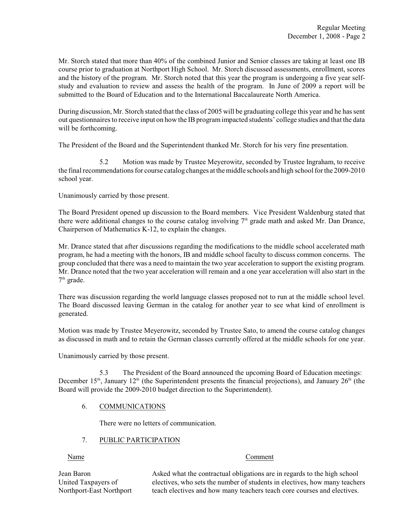Mr. Storch stated that more than 40% of the combined Junior and Senior classes are taking at least one IB course prior to graduation at Northport High School. Mr. Storch discussed assessments, enrollment, scores and the history of the program. Mr. Storch noted that this year the program is undergoing a five year selfstudy and evaluation to review and assess the health of the program. In June of 2009 a report will be submitted to the Board of Education and to the International Baccalaureate North America.

During discussion, Mr. Storch stated that the class of 2005 will be graduating college this year and he has sent out questionnaires to receive input on how the IB program impacted students' college studies and that the data will be forthcoming.

The President of the Board and the Superintendent thanked Mr. Storch for his very fine presentation.

5.2 Motion was made by Trustee Meyerowitz, seconded by Trustee Ingraham, to receive the final recommendations for course catalog changes at the middle schools and high school for the 2009-2010 school year.

Unanimously carried by those present.

The Board President opened up discussion to the Board members. Vice President Waldenburg stated that there were additional changes to the course catalog involving  $7<sup>th</sup>$  grade math and asked Mr. Dan Drance, Chairperson of Mathematics K-12, to explain the changes.

Mr. Drance stated that after discussions regarding the modifications to the middle school accelerated math program, he had a meeting with the honors, IB and middle school faculty to discuss common concerns. The group concluded that there was a need to maintain the two year acceleration to support the existing program. Mr. Drance noted that the two year acceleration will remain and a one year acceleration will also start in the  $7<sup>th</sup>$  grade.

There was discussion regarding the world language classes proposed not to run at the middle school level. The Board discussed leaving German in the catalog for another year to see what kind of enrollment is generated.

Motion was made by Trustee Meyerowitz, seconded by Trustee Sato, to amend the course catalog changes as discussed in math and to retain the German classes currently offered at the middle schools for one year.

Unanimously carried by those present.

5.3 The President of the Board announced the upcoming Board of Education meetings: December 15<sup>th</sup>, January 12<sup>th</sup> (the Superintendent presents the financial projections), and January 26<sup>th</sup> (the Board will provide the 2009-2010 budget direction to the Superintendent).

## 6. COMMUNICATIONS

There were no letters of communication.

### 7. PUBLIC PARTICIPATION

#### Name Comment

Jean Baron Asked what the contractual obligations are in regards to the high school United Taxpayers of electives, who sets the number of students in electives, how many teachers Northport-East Northport teach electives and how many teachers teach core courses and electives.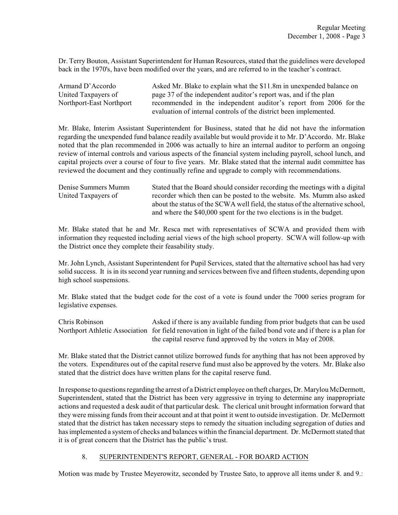Dr. Terry Bouton, Assistant Superintendent for Human Resources, stated that the guidelines were developed back in the 1970's, have been modified over the years, and are referred to in the teacher's contract.

| Armand D'Accordo         | Asked Mr. Blake to explain what the \$11.8m in unexpended balance on |
|--------------------------|----------------------------------------------------------------------|
| United Taxpayers of      | page 37 of the independent auditor's report was, and if the plan     |
| Northport-East Northport | recommended in the independent auditor's report from 2006 for the    |
|                          | evaluation of internal controls of the district been implemented.    |

Mr. Blake, Interim Assistant Superintendent for Business, stated that he did not have the information regarding the unexpended fund balance readily available but would provide it to Mr. D'Accordo. Mr. Blake noted that the plan recommended in 2006 was actually to hire an internal auditor to perform an ongoing review of internal controls and various aspects of the financial system including payroll, school lunch, and capital projects over a course of four to five years. Mr. Blake stated that the internal audit committee has reviewed the document and they continually refine and upgrade to comply with recommendations.

| Denise Summers Mumm | Stated that the Board should consider recording the meetings with a digital    |
|---------------------|--------------------------------------------------------------------------------|
| United Taxpayers of | recorder which then can be posted to the website. Ms. Mumm also asked          |
|                     | about the status of the SCWA well field, the status of the alternative school, |
|                     | and where the \$40,000 spent for the two elections is in the budget.           |

Mr. Blake stated that he and Mr. Resca met with representatives of SCWA and provided them with information they requested including aerial views of the high school property. SCWA will follow-up with the District once they complete their feasability study.

Mr. John Lynch, Assistant Superintendent for Pupil Services, stated that the alternative school has had very solid success. It is in its second year running and services between five and fifteen students, depending upon high school suspensions.

Mr. Blake stated that the budget code for the cost of a vote is found under the 7000 series program for legislative expenses.

Chris Robinson Asked if there is any available funding from prior budgets that can be used Northport Athletic Association for field renovation in light of the failed bond vote and if there is a plan for the capital reserve fund approved by the voters in May of 2008.

Mr. Blake stated that the District cannot utilize borrowed funds for anything that has not been approved by the voters. Expenditures out of the capital reserve fund must also be approved by the voters. Mr. Blake also stated that the district does have written plans for the capital reserve fund.

In response to questions regarding the arrest of a District employee on theft charges, Dr. Marylou McDermott, Superintendent, stated that the District has been very aggressive in trying to determine any inappropriate actions and requested a desk audit of that particular desk. The clerical unit brought information forward that they were missing funds from their account and at that point it went to outside investigation. Dr. McDermott stated that the district has taken necessary steps to remedy the situation including segregation of duties and has implemented a system of checks and balances within the financial department. Dr. McDermott stated that it is of great concern that the District has the public's trust.

# 8. SUPERINTENDENT'S REPORT, GENERAL - FOR BOARD ACTION

Motion was made by Trustee Meyerowitz, seconded by Trustee Sato, to approve all items under 8. and 9.: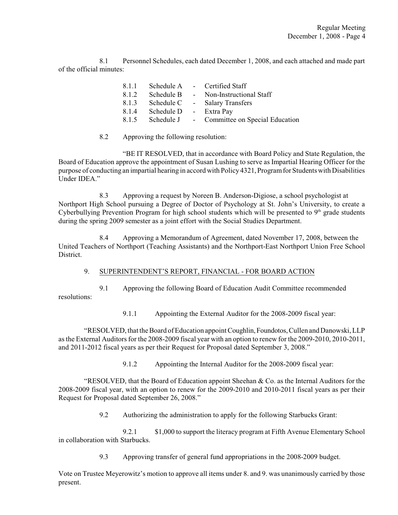8.1 Personnel Schedules, each dated December 1, 2008, and each attached and made part of the official minutes:

| 8.1.1 |            |            | Schedule A - Certified Staff     |
|-------|------------|------------|----------------------------------|
| 8.1.2 | Schedule B | $\sim 100$ | Non-Instructional Staff          |
| 8.1.3 | Schedule C |            | - Salary Transfers               |
| 8.1.4 | Schedule D |            | - Extra Pay                      |
| 8.1.5 | Schedule J |            | - Committee on Special Education |

## 8.2 Approving the following resolution:

"BE IT RESOLVED, that in accordance with Board Policy and State Regulation, the Board of Education approve the appointment of Susan Lushing to serve as Impartial Hearing Officer for the purpose of conducting an impartial hearing in accord with Policy 4321, Programfor Students with Disabilities Under IDEA."

8.3 Approving a request by Noreen B. Anderson-Digiose, a school psychologist at Northport High School pursuing a Degree of Doctor of Psychology at St. John's University, to create a Cyberbullying Prevention Program for high school students which will be presented to  $9<sup>th</sup>$  grade students during the spring 2009 semester as a joint effort with the Social Studies Department.

8.4 Approving a Memorandum of Agreement, dated November 17, 2008, between the United Teachers of Northport (Teaching Assistants) and the Northport-East Northport Union Free School District.

## 9. SUPERINTENDENT'S REPORT, FINANCIAL - FOR BOARD ACTION

9.1 Approving the following Board of Education Audit Committee recommended resolutions:

9.1.1 Appointing the External Auditor for the 2008-2009 fiscal year:

"RESOLVED, that the Board of Education appoint Coughlin, Foundotos, Cullen and Danowski, LLP as the External Auditors for the 2008-2009 fiscal year with an option to renew for the 2009-2010, 2010-2011, and 2011-2012 fiscal years as per their Request for Proposal dated September 3, 2008."

9.1.2 Appointing the Internal Auditor for the 2008-2009 fiscal year:

"RESOLVED, that the Board of Education appoint Sheehan & Co. as the Internal Auditors for the 2008-2009 fiscal year, with an option to renew for the 2009-2010 and 2010-2011 fiscal years as per their Request for Proposal dated September 26, 2008."

9.2 Authorizing the administration to apply for the following Starbucks Grant:

9.2.1 \$1,000 to support the literacy program at Fifth Avenue Elementary School in collaboration with Starbucks.

9.3 Approving transfer of general fund appropriations in the 2008-2009 budget.

Vote on Trustee Meyerowitz's motion to approve all items under 8. and 9. was unanimously carried by those present.